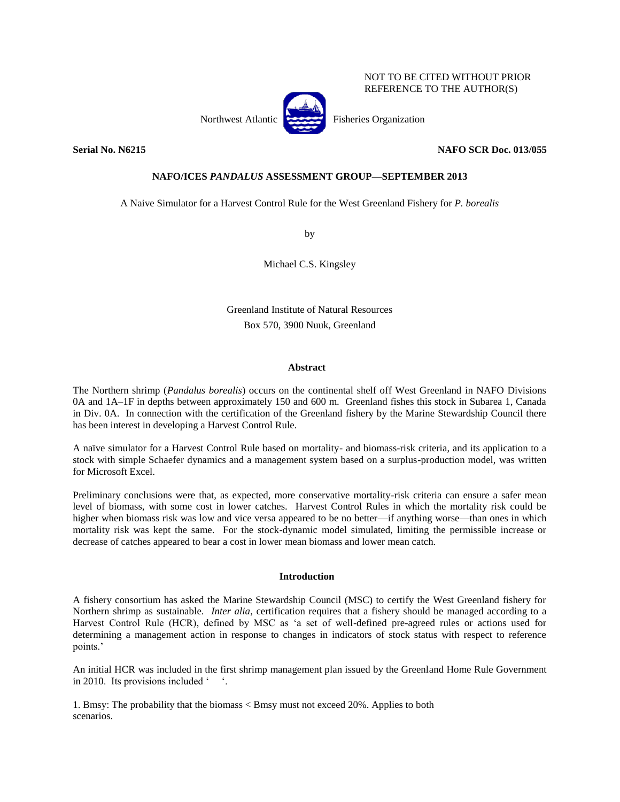## NOT TO BE CITED WITHOUT PRIOR REFERENCE TO THE AUTHOR(S)

Northwest Atlantic Fisheries Organization

## **Serial No. N6215 NAFO SCR Doc. 013/055**

# **NAFO/ICES** *PANDALUS* **ASSESSMENT GROUP—SEPTEMBER 2013**

A Naive Simulator for a Harvest Control Rule for the West Greenland Fishery for *P. borealis*

by

Michael C.S. Kingsley

Greenland Institute of Natural Resources Box 570, 3900 Nuuk, Greenland

## **Abstract**

The Northern shrimp (*Pandalus borealis*) occurs on the continental shelf off West Greenland in NAFO Divisions 0A and 1A–1F in depths between approximately 150 and 600 m. Greenland fishes this stock in Subarea 1, Canada in Div. 0A. In connection with the certification of the Greenland fishery by the Marine Stewardship Council there has been interest in developing a Harvest Control Rule.

A naïve simulator for a Harvest Control Rule based on mortality- and biomass-risk criteria, and its application to a stock with simple Schaefer dynamics and a management system based on a surplus-production model, was written for Microsoft Excel.

Preliminary conclusions were that, as expected, more conservative mortality-risk criteria can ensure a safer mean level of biomass, with some cost in lower catches. Harvest Control Rules in which the mortality risk could be higher when biomass risk was low and vice versa appeared to be no better—if anything worse—than ones in which mortality risk was kept the same. For the stock-dynamic model simulated, limiting the permissible increase or decrease of catches appeared to bear a cost in lower mean biomass and lower mean catch.

### **Introduction**

A fishery consortium has asked the Marine Stewardship Council (MSC) to certify the West Greenland fishery for Northern shrimp as sustainable. *Inter alia*, certification requires that a fishery should be managed according to a Harvest Control Rule (HCR), defined by MSC as 'a set of well-defined pre-agreed rules or actions used for determining a management action in response to changes in indicators of stock status with respect to reference points.'

An initial HCR was included in the first shrimp management plan issued by the Greenland Home Rule Government in 2010. Its provisions included ' '.

1. Bmsy: The probability that the biomass < Bmsy must not exceed 20%. Applies to both scenarios.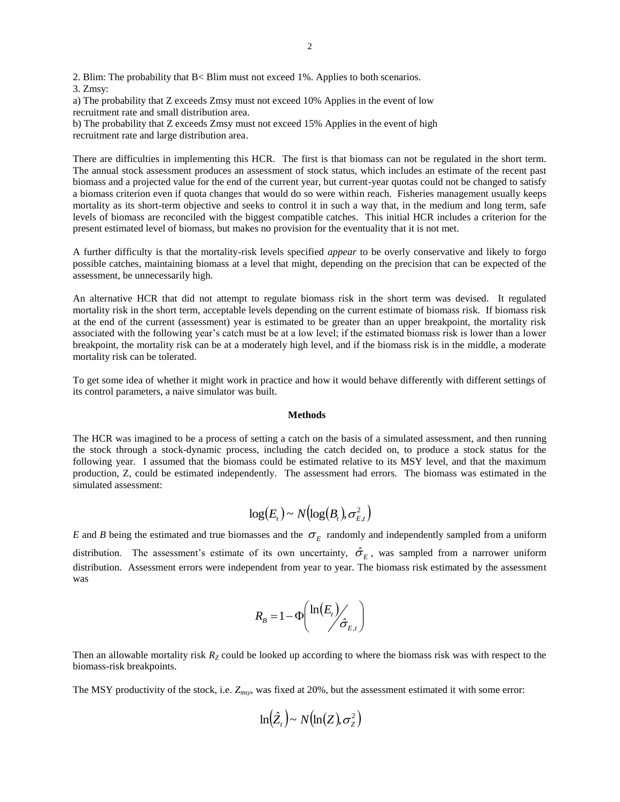2. Blim: The probability that B< Blim must not exceed 1%. Applies to both scenarios. 3. Zmsy:

a) The probability that Z exceeds Zmsy must not exceed 10% Applies in the event of low recruitment rate and small distribution area.

b) The probability that Z exceeds Zmsy must not exceed 15% Applies in the event of high recruitment rate and large distribution area.

There are difficulties in implementing this HCR. The first is that biomass can not be regulated in the short term. The annual stock assessment produces an assessment of stock status, which includes an estimate of the recent past biomass and a projected value for the end of the current year, but current-year quotas could not be changed to satisfy a biomass criterion even if quota changes that would do so were within reach. Fisheries management usually keeps mortality as its short-term objective and seeks to control it in such a way that, in the medium and long term, safe levels of biomass are reconciled with the biggest compatible catches. This initial HCR includes a criterion for the present estimated level of biomass, but makes no provision for the eventuality that it is not met.

A further difficulty is that the mortality-risk levels specified *appear* to be overly conservative and likely to forgo possible catches, maintaining biomass at a level that might, depending on the precision that can be expected of the assessment, be unnecessarily high.

An alternative HCR that did not attempt to regulate biomass risk in the short term was devised. It regulated mortality risk in the short term, acceptable levels depending on the current estimate of biomass risk. If biomass risk at the end of the current (assessment) year is estimated to be greater than an upper breakpoint, the mortality risk associated with the following year's catch must be at a low level; if the estimated biomass risk is lower than a lower breakpoint, the mortality risk can be at a moderately high level, and if the biomass risk is in the middle, a moderate mortality risk can be tolerated.

To get some idea of whether it might work in practice and how it would behave differently with different settings of its control parameters, a naive simulator was built.

### **Methods**

The HCR was imagined to be a process of setting a catch on the basis of a simulated assessment, and then running the stock through a stock-dynamic process, including the catch decided on, to produce a stock status for the following year. I assumed that the biomass could be estimated relative to its MSY level, and that the maximum production, Z, could be estimated independently. The assessment had errors. The biomass was estimated in the simulated assessment:

$$
\log(E_t) \sim N(\log(B_t), \sigma_{E,t}^2)
$$

*E* and *B* being the estimated and true biomasses and the  $\sigma$ <sub>*E*</sub> randomly and independently sampled from a uniform distribution. The assessment's estimate of its own uncertainty,  $\hat{\sigma}_E$ , was sampled from a narrower uniform distribution. Assessment errors were independent from year to year. The biomass risk estimated by the assessment was

$$
R_{B} = 1 - \Phi\left(\frac{\ln(E_{t})}{\hat{\sigma}_{E,t}}\right)
$$

Then an allowable mortality risk  $R<sub>Z</sub>$  could be looked up according to where the biomass risk was with respect to the biomass-risk breakpoints.

The MSY productivity of the stock, i.e. *Zmsy*, was fixed at 20%, but the assessment estimated it with some error:

$$
\ln(\hat{Z}_t) \sim N(\ln(Z), \sigma_Z^2)
$$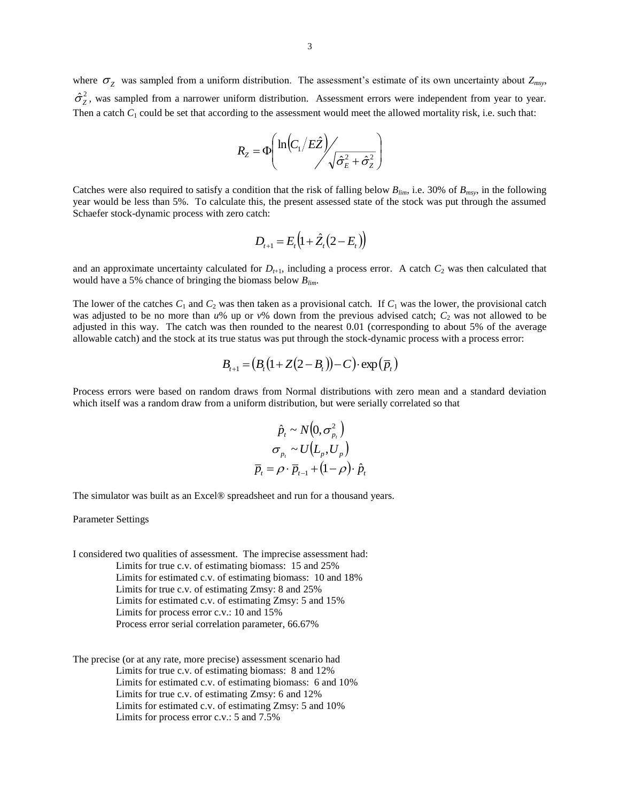where  $\sigma_z$  was sampled from a uniform distribution. The assessment's estimate of its own uncertainty about  $Z_{msv}$ ,  $\hat{\sigma}_z^2$ , was sampled from a narrower uniform distribution. Assessment errors were independent from year to year. Then a catch  $C_1$  could be set that according to the assessment would meet the allowed mortality risk, i.e. such that:

$$
R_{Z} = \Phi\left(\ln\left(C_{1}/E\hat{Z}\right) / \sqrt{\hat{\sigma}_{E}^{2} + \hat{\sigma}_{Z}^{2}}\right)
$$

Catches were also required to satisfy a condition that the risk of falling below  $B_{lim}$ , i.e. 30% of  $B_{max}$ , in the following year would be less than 5%. To calculate this, the present assessed state of the stock was put through the assumed Schaefer stock-dynamic process with zero catch:

$$
D_{t+1} = E_t (1 + \hat{Z}_t (2 - E_t))
$$

and an approximate uncertainty calculated for  $D_{t+1}$ , including a process error. A catch  $C_2$  was then calculated that would have a 5% chance of bringing the biomass below *Blim*.

The lower of the catches  $C_1$  and  $C_2$  was then taken as a provisional catch. If  $C_1$  was the lower, the provisional catch was adjusted to be no more than  $u\%$  up or  $v\%$  down from the previous advised catch;  $C_2$  was not allowed to be adjusted in this way. The catch was then rounded to the nearest 0.01 (corresponding to about 5% of the average allowable catch) and the stock at its true status was put through the stock-dynamic process with a process error:

$$
B_{t+1} = (B_t(1+Z(2-B_t))-C) \cdot \exp(\overline{p}_t)
$$

Process errors were based on random draws from Normal distributions with zero mean and a standard deviation which itself was a random draw from a uniform distribution, but were serially correlated so that

$$
\hat{p}_t \sim N(0, \sigma_{p_t}^2)
$$
\n
$$
\sigma_{p_t} \sim U(L_p, U_p)
$$
\n
$$
\overline{p}_t = \rho \cdot \overline{p}_{t-1} + (1 - \rho) \cdot \hat{p}_t
$$

The simulator was built as an Excel® spreadsheet and run for a thousand years.

Parameter Settings

I considered two qualities of assessment. The imprecise assessment had: Limits for true c.v. of estimating biomass: 15 and 25% Limits for estimated c.v. of estimating biomass: 10 and 18% Limits for true c.v. of estimating Zmsy: 8 and 25% Limits for estimated c.v. of estimating Zmsy: 5 and 15% Limits for process error c.v.: 10 and 15% Process error serial correlation parameter, 66.67%

The precise (or at any rate, more precise) assessment scenario had Limits for true c.v. of estimating biomass: 8 and 12% Limits for estimated c.v. of estimating biomass: 6 and 10% Limits for true c.v. of estimating Zmsy: 6 and 12% Limits for estimated c.v. of estimating Zmsy: 5 and 10% Limits for process error c.v.: 5 and 7.5%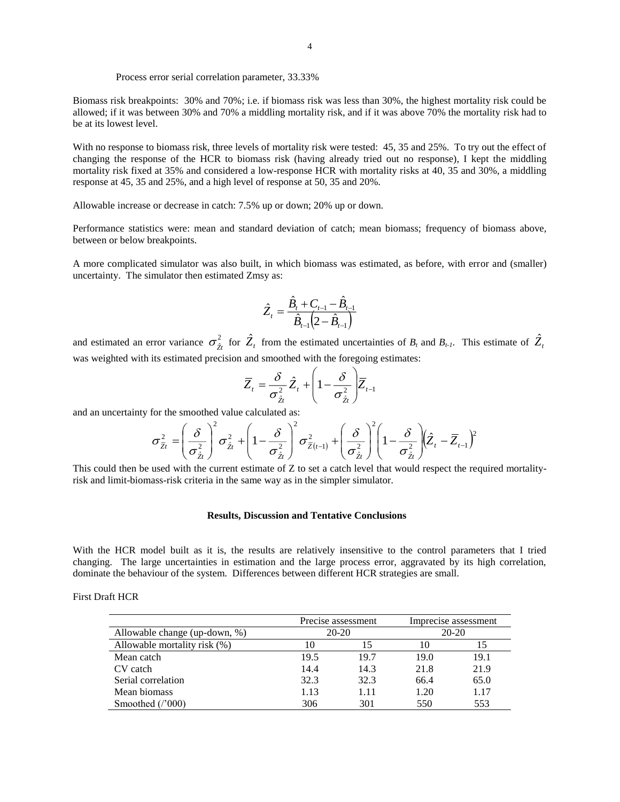### Process error serial correlation parameter, 33.33%

Biomass risk breakpoints: 30% and 70%; i.e. if biomass risk was less than 30%, the highest mortality risk could be allowed; if it was between 30% and 70% a middling mortality risk, and if it was above 70% the mortality risk had to be at its lowest level.

With no response to biomass risk, three levels of mortality risk were tested: 45, 35 and 25%. To try out the effect of changing the response of the HCR to biomass risk (having already tried out no response), I kept the middling mortality risk fixed at 35% and considered a low-response HCR with mortality risks at 40, 35 and 30%, a middling response at 45, 35 and 25%, and a high level of response at 50, 35 and 20%.

Allowable increase or decrease in catch: 7.5% up or down; 20% up or down.

Performance statistics were: mean and standard deviation of catch; mean biomass; frequency of biomass above, between or below breakpoints.

A more complicated simulator was also built, in which biomass was estimated, as before, with error and (smaller) uncertainty. The simulator then estimated Zmsy as:

$$
\hat{Z}_{t} = \frac{\hat{B}_{t} + C_{t-1} - \hat{B}_{t-1}}{\hat{B}_{t-1} (2 - \hat{B}_{t-1})}
$$

and estimated an error variance  $\sigma_{\hat{z}_t}^2$  for  $\hat{Z}_t$  from the estimated uncertainties of  $B_t$  and  $B_{t-1}$ . This estimate of  $\hat{Z}_t$ was weighted with its estimated precision and smoothed with the foregoing estimates:

$$
\overline{Z}_t = \frac{\delta}{\sigma_{\hat{Z}t}^2} \hat{Z}_t + \left(1 - \frac{\delta}{\sigma_{\hat{Z}t}^2}\right) \overline{Z}_{t-1}
$$

and an uncertainty for the smoothed value calculated as:

$$
\sigma_{\bar{z}_t}^2 = \left(\frac{\delta}{\sigma_{\hat{z}_t}^2}\right)^2 \sigma_{\hat{z}_t}^2 + \left(1 - \frac{\delta}{\sigma_{\hat{z}_t}^2}\right)^2 \sigma_{\bar{z}_{(t-1)}}^2 + \left(\frac{\delta}{\sigma_{\hat{z}_t}^2}\right)^2 \left(1 - \frac{\delta}{\sigma_{\hat{z}_t}^2}\right) \left(\hat{Z}_t - \overline{Z}_{t-1}\right)^2
$$

This could then be used with the current estimate of Z to set a catch level that would respect the required mortalityrisk and limit-biomass-risk criteria in the same way as in the simpler simulator.

### **Results, Discussion and Tentative Conclusions**

With the HCR model built as it is, the results are relatively insensitive to the control parameters that I tried changing. The large uncertainties in estimation and the large process error, aggravated by its high correlation, dominate the behaviour of the system. Differences between different HCR strategies are small.

| <b>First Draft HCR</b> |  |
|------------------------|--|
|------------------------|--|

|                               |      | Precise assessment | Imprecise assessment |       |  |
|-------------------------------|------|--------------------|----------------------|-------|--|
| Allowable change (up-down, %) |      | $20-20$            |                      | 20-20 |  |
| Allowable mortality risk (%)  |      | 15                 | 10                   |       |  |
| Mean catch                    | 19.5 | 19.7               | 19.0                 | 19.1  |  |
| CV catch                      | 14.4 | 14.3               | 21.8                 | 21.9  |  |
| Serial correlation            | 32.3 | 32.3               | 66.4                 | 65.0  |  |
| Mean biomass                  | 1.13 | 1.11               | 1.20                 | 1.17  |  |
| Smoothed $('000)$             | 306  | 301                | 550                  | 553   |  |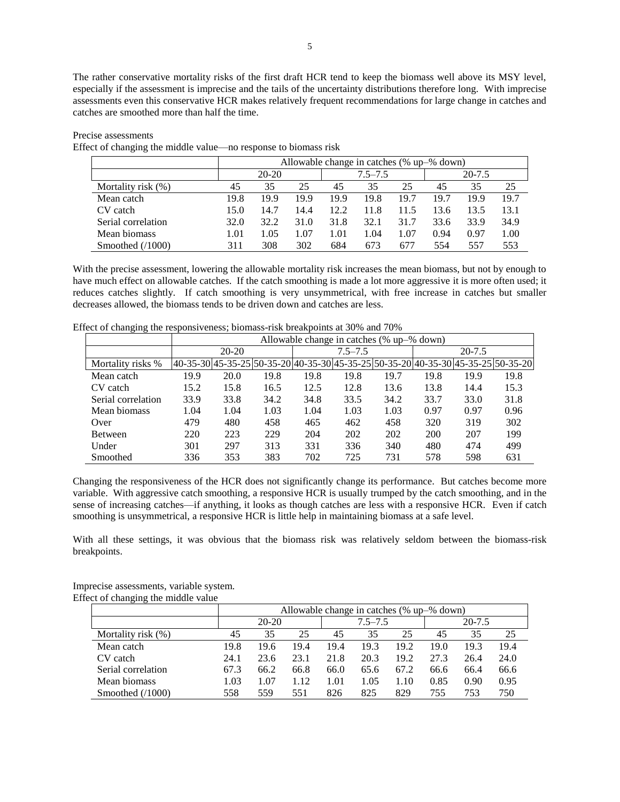The rather conservative mortality risks of the first draft HCR tend to keep the biomass well above its MSY level, especially if the assessment is imprecise and the tails of the uncertainty distributions therefore long. With imprecise assessments even this conservative HCR makes relatively frequent recommendations for large change in catches and catches are smoothed more than half the time.

#### Precise assessments

Effect of changing the middle value—no response to biomass risk

|                    | Allowable change in catches (% up-% down) |      |      |             |      |      |            |      |      |
|--------------------|-------------------------------------------|------|------|-------------|------|------|------------|------|------|
|                    | $20 - 20$                                 |      |      | $7.5 - 7.5$ |      |      | $20 - 7.5$ |      |      |
| Mortality risk (%) | 45                                        | 35   | 25   | 45          | 35   | 25   | 45         | 35   | 25   |
| Mean catch         | 19.8                                      | 19.9 | 19.9 | 19.9        | 19.8 | 19.7 | 19.7       | 19.9 | 19.7 |
| CV catch           | 15.0                                      | 14.7 | 14.4 | 12.2        | 11.8 | 11.5 | 13.6       | 13.5 | 13.1 |
| Serial correlation | 32.0                                      | 32.2 | 31.0 | 31.8        | 32.1 | 31.7 | 33.6       | 33.9 | 34.9 |
| Mean biomass       | 1.01                                      | 1.05 | 1.07 | 1.01        | 1.04 | 1.07 | 0.94       | 0.97 | 1.00 |
| Smoothed $(1000)$  | 311                                       | 308  | 302  | 684         | 673  | 677  | 554        | 557  | 553  |

With the precise assessment, lowering the allowable mortality risk increases the mean biomass, but not by enough to have much effect on allowable catches. If the catch smoothing is made a lot more aggressive it is more often used; it reduces catches slightly. If catch smoothing is very unsymmetrical, with free increase in catches but smaller decreases allowed, the biomass tends to be driven down and catches are less.

|                    |      | Allowable change in catches (% up-% down) |      |      |             |      |      |            |                                                                                  |  |
|--------------------|------|-------------------------------------------|------|------|-------------|------|------|------------|----------------------------------------------------------------------------------|--|
|                    |      | 20-20                                     |      |      | $7.5 - 7.5$ |      |      | $20 - 7.5$ |                                                                                  |  |
| Mortality risks %  |      |                                           |      |      |             |      |      |            | 40-35-30 45-35-25 50-35-20 40-35-30 45-35-25 50-35-20 40-35-30 45-35-25 50-35-20 |  |
| Mean catch         | 19.9 | 20.0                                      | 19.8 | 19.8 | 19.8        | 19.7 | 19.8 | 19.9       | 19.8                                                                             |  |
| CV catch           | 15.2 | 15.8                                      | 16.5 | 12.5 | 12.8        | 13.6 | 13.8 | 14.4       | 15.3                                                                             |  |
| Serial correlation | 33.9 | 33.8                                      | 34.2 | 34.8 | 33.5        | 34.2 | 33.7 | 33.0       | 31.8                                                                             |  |
| Mean biomass       | 1.04 | 1.04                                      | 1.03 | 1.04 | 1.03        | 1.03 | 0.97 | 0.97       | 0.96                                                                             |  |
| Over               | 479  | 480                                       | 458  | 465  | 462         | 458  | 320  | 319        | 302                                                                              |  |
| Between            | 220  | 223                                       | 229  | 204  | 202         | 202  | 200  | 207        | 199                                                                              |  |
| Under              | 301  | 297                                       | 313  | 331  | 336         | 340  | 480  | 474        | 499                                                                              |  |
| Smoothed           | 336  | 353                                       | 383  | 702  | 725         | 731  | 578  | 598        | 631                                                                              |  |

Effect of changing the responsiveness; biomass-risk breakpoints at 30% and 70%

Changing the responsiveness of the HCR does not significantly change its performance. But catches become more variable. With aggressive catch smoothing, a responsive HCR is usually trumped by the catch smoothing, and in the sense of increasing catches—if anything, it looks as though catches are less with a responsive HCR. Even if catch smoothing is unsymmetrical, a responsive HCR is little help in maintaining biomass at a safe level.

With all these settings, it was obvious that the biomass risk was relatively seldom between the biomass-risk breakpoints.

Imprecise assessments, variable system. Effect of changing the middle value

| <u>-</u>           |      |           |      |      |             |      |      |            |      |  |
|--------------------|------|-----------|------|------|-------------|------|------|------------|------|--|
|                    |      | $20 - 20$ |      |      | $7.5 - 7.5$ |      |      | $20 - 7.5$ |      |  |
| Mortality risk (%) | 45   | 35        | 25   | 45   | 35          | 25   | 45   | 35         | 25   |  |
| Mean catch         | 19.8 | 19.6      | 19.4 | 19.4 | 19.3        | 19.2 | 19.0 | 19.3       | 19.4 |  |
| CV catch           | 24.1 | 23.6      | 23.1 | 21.8 | 20.3        | 19.2 | 27.3 | 26.4       | 24.0 |  |
| Serial correlation | 67.3 | 66.2      | 66.8 | 66.0 | 65.6        | 67.2 | 66.6 | 66.4       | 66.6 |  |
| Mean biomass       | 1.03 | 1.07      | 1.12 | 1.01 | 1.05        | .10  | 0.85 | 0.90       | 0.95 |  |
| Smoothed $(1000)$  | 558  | 559       | 551  | 826  | 825         | 829  | 755  | 753        | 750  |  |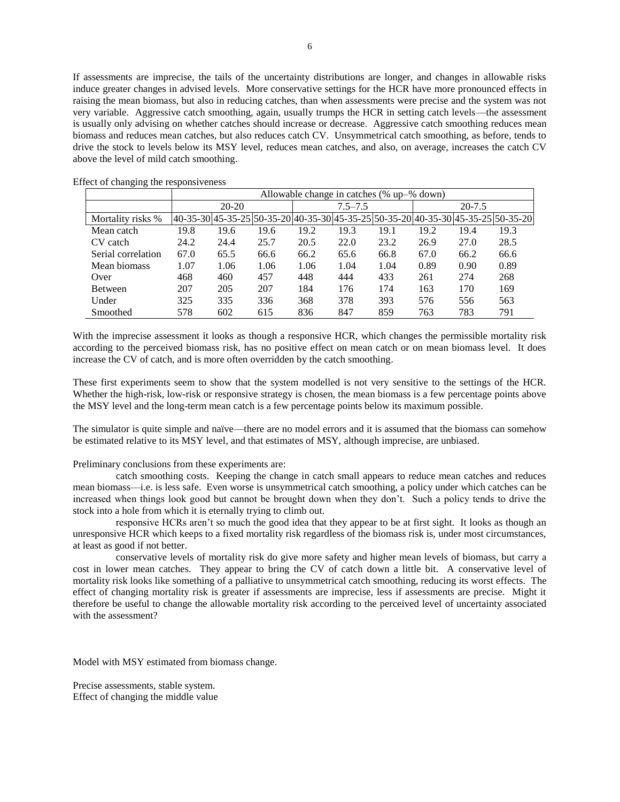If assessments are imprecise, the tails of the uncertainty distributions are longer, and changes in allowable risks induce greater changes in advised levels. More conservative settings for the HCR have more pronounced effects in raising the mean biomass, but also in reducing catches, than when assessments were precise and the system was not very variable. Aggressive catch smoothing, again, usually trumps the HCR in setting catch levels—the assessment is usually only advising on whether catches should increase or decrease. Aggressive catch smoothing reduces mean biomass and reduces mean catches, but also reduces catch CV. Unsymmetrical catch smoothing, as before, tends to drive the stock to levels below its MSY level, reduces mean catches, and also, on average, increases the catch CV above the level of mild catch smoothing.

|                    |      | Allowable change in catches (% up-% down) |      |      |             |      |      |            |                                                                                          |  |  |
|--------------------|------|-------------------------------------------|------|------|-------------|------|------|------------|------------------------------------------------------------------------------------------|--|--|
|                    |      | $20 - 20$                                 |      |      | $7.5 - 7.5$ |      |      | $20 - 7.5$ |                                                                                          |  |  |
| Mortality risks %  |      |                                           |      |      |             |      |      |            | 40-35-30  45-35-25  50-35-20  40-35-30  45-35-25  50-35-20  40-35-30  45-35-25  50-35-20 |  |  |
| Mean catch         | 19.8 | 19.6                                      | 19.6 | 19.2 | 19.3        | 19.1 | 19.2 | 19.4       | 19.3                                                                                     |  |  |
| CV catch           | 24.2 | 24.4                                      | 25.7 | 20.5 | 22.0        | 23.2 | 26.9 | 27.0       | 28.5                                                                                     |  |  |
| Serial correlation | 67.0 | 65.5                                      | 66.6 | 66.2 | 65.6        | 66.8 | 67.0 | 66.2       | 66.6                                                                                     |  |  |
| Mean biomass       | 1.07 | 1.06                                      | 1.06 | 1.06 | 1.04        | 1.04 | 0.89 | 0.90       | 0.89                                                                                     |  |  |
| Over               | 468  | 460                                       | 457  | 448  | 444         | 433  | 261  | 274        | 268                                                                                      |  |  |
| Between            | 207  | 205                                       | 207  | 184  | 176         | 174  | 163  | 170        | 169                                                                                      |  |  |
| Under              | 325  | 335                                       | 336  | 368  | 378         | 393  | 576  | 556        | 563                                                                                      |  |  |
| Smoothed           | 578  | 602                                       | 615  | 836  | 847         | 859  | 763  | 783        | 791                                                                                      |  |  |

Effect of changing the responsiveness

With the imprecise assessment it looks as though a responsive HCR, which changes the permissible mortality risk according to the perceived biomass risk, has no positive effect on mean catch or on mean biomass level. It does increase the CV of catch, and is more often overridden by the catch smoothing.

These first experiments seem to show that the system modelled is not very sensitive to the settings of the HCR. Whether the high-risk, low-risk or responsive strategy is chosen, the mean biomass is a few percentage points above the MSY level and the long-term mean catch is a few percentage points below its maximum possible.

The simulator is quite simple and naïve—there are no model errors and it is assumed that the biomass can somehow be estimated relative to its MSY level, and that estimates of MSY, although imprecise, are unbiased.

Preliminary conclusions from these experiments are:

catch smoothing costs. Keeping the change in catch small appears to reduce mean catches and reduces mean biomass—i.e. is less safe. Even worse is unsymmetrical catch smoothing, a policy under which catches can be increased when things look good but cannot be brought down when they don't. Such a policy tends to drive the stock into a hole from which it is eternally trying to climb out.

responsive HCRs aren't so much the good idea that they appear to be at first sight. It looks as though an unresponsive HCR which keeps to a fixed mortality risk regardless of the biomass risk is, under most circumstances, at least as good if not better.

conservative levels of mortality risk do give more safety and higher mean levels of biomass, but carry a cost in lower mean catches. They appear to bring the CV of catch down a little bit. A conservative level of mortality risk looks like something of a palliative to unsymmetrical catch smoothing, reducing its worst effects. The effect of changing mortality risk is greater if assessments are imprecise, less if assessments are precise. Might it therefore be useful to change the allowable mortality risk according to the perceived level of uncertainty associated with the assessment?

Model with MSY estimated from biomass change.

Precise assessments, stable system. Effect of changing the middle value